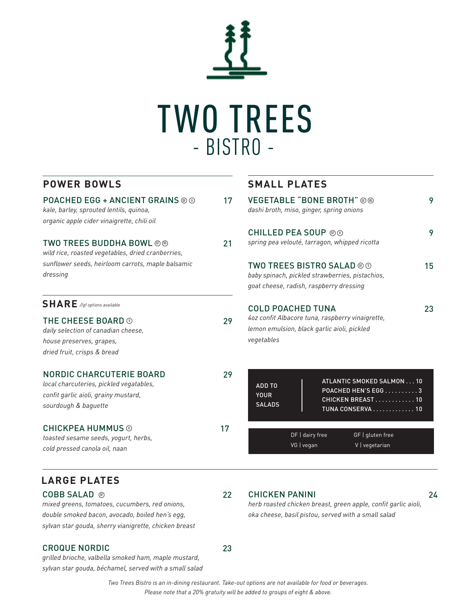

**SMALL PLATES**

CHICKEN PANINI 24 *herb roasted chicken breast, green apple, confit garlic aioli,*

*oka cheese, basil pistou, served with a small salad*

### **POWER BOWLS**

| <b>POACHED EGG + ANCIENT GRAINS @ @</b><br>kale, barley, sprouted lentils, quinoa,<br>organic apple cider vinaigrette, chili oil | 17 | <b>VEGETABLE "BONE BROTH"</b> @ @<br>dashi broth, miso, ginger, spring onions                   | 9  |
|----------------------------------------------------------------------------------------------------------------------------------|----|-------------------------------------------------------------------------------------------------|----|
|                                                                                                                                  |    | <b>CHILLED PEA SOUP ®</b>                                                                       | 9  |
| <b>TWO TREES BUDDHA BOWL @@</b><br>wild rice, roasted vegetables, dried cranberries,                                             | 21 | spring pea velouté, tarragon, whipped ricotta                                                   |    |
| sunflower seeds, heirloom carrots, maple balsamic<br>dressing                                                                    |    | <b>TWO TREES BISTRO SALAD @ @</b><br>baby spinach, pickled strawberries, pistachios,            | 15 |
|                                                                                                                                  |    | goat cheese, radish, raspberry dressing                                                         |    |
| $S H A R E$ //gf options available                                                                                               |    | <b>COLD POACHED TUNA</b>                                                                        | 23 |
| THE CHEESE BOARD $\odot$<br>daily selection of canadian cheese,                                                                  | 29 | 4oz confit Albacore tuna, raspberry vinaigrette,<br>lemon emulsion, black garlic aioli, pickled |    |
| house preserves, grapes,                                                                                                         |    | vegetables                                                                                      |    |
| dried fruit, crisps & bread                                                                                                      |    |                                                                                                 |    |
| NORDIC CHARCUTERIE BOARD<br>local charcuteries, pickled vegatables,<br>confit garlic aioli, grainy mustard,                      | 29 | ATLANTIC SMOKED SALMON 10<br>ADD TO<br>POACHED HEN'S EGG3<br><b>YOUR</b>                        |    |
| sourdough & baguette                                                                                                             |    | CHICKEN BREAST10<br><b>SALADS</b><br>TUNA CONSERVA 10                                           |    |
| <b>CHICKPEA HUMMUS</b> $\odot$                                                                                                   | 17 | DF   dairy free<br>GF   gluten free                                                             |    |
| toasted sesame seeds, yogurt, herbs,<br>cold pressed canola oil, naan                                                            |    | VG   vegan<br>V   vegetarian                                                                    |    |
|                                                                                                                                  |    |                                                                                                 |    |

### **LARGE PLATES**

**COBB SALAD ⓒ** 22 *mixed greens, tomatoes, cucumbers, red onions, double smoked bacon, avocado, boiled hen's egg, sylvan star gouda, sherry vianigrette, chicken breast*

#### CROQUE NORDIC 23

*grilled brioche, valbella smoked ham, maple mustard, sylvan star gouda, béchamel, served with a small salad*

> *Two Trees Bistro is an in-dining restaurant. Take-out options are not available for food or beverages. Please note that a 20% gratuity will be added to groups of eight & above.*